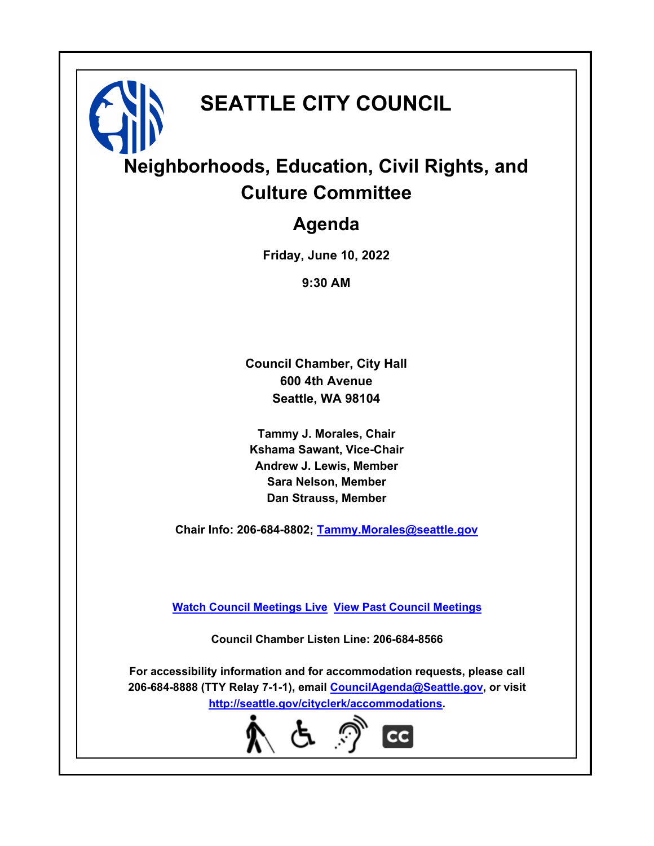# **SEATTLE CITY COUNCIL**

# **Neighborhoods, Education, Civil Rights, and Culture Committee**

### **Agenda**

**Friday, June 10, 2022**

**9:30 AM**

**Council Chamber, City Hall 600 4th Avenue Seattle, WA 98104**

**Tammy J. Morales, Chair Kshama Sawant, Vice-Chair Andrew J. Lewis, Member Sara Nelson, Member Dan Strauss, Member**

**Chair Info: 206-684-8802; [Tammy.Morales@seattle.gov](mailto: Tammy.Morales@seattle.gov)**

**[Watch Council Meetings Live](http://www.seattle.gov/council/councillive.htm) [View Past Council Meetings](http://www.seattlechannel.org/videos/browseVideos.asp?topic=council)**

**Council Chamber Listen Line: 206-684-8566**

**For accessibility information and for accommodation requests, please call 206-684-8888 (TTY Relay 7-1-1), email [CouncilAgenda@Seattle.gov](mailto: CouncilAgenda@Seattle.gov), or visit <http://seattle.gov/cityclerk/accommodations>.**

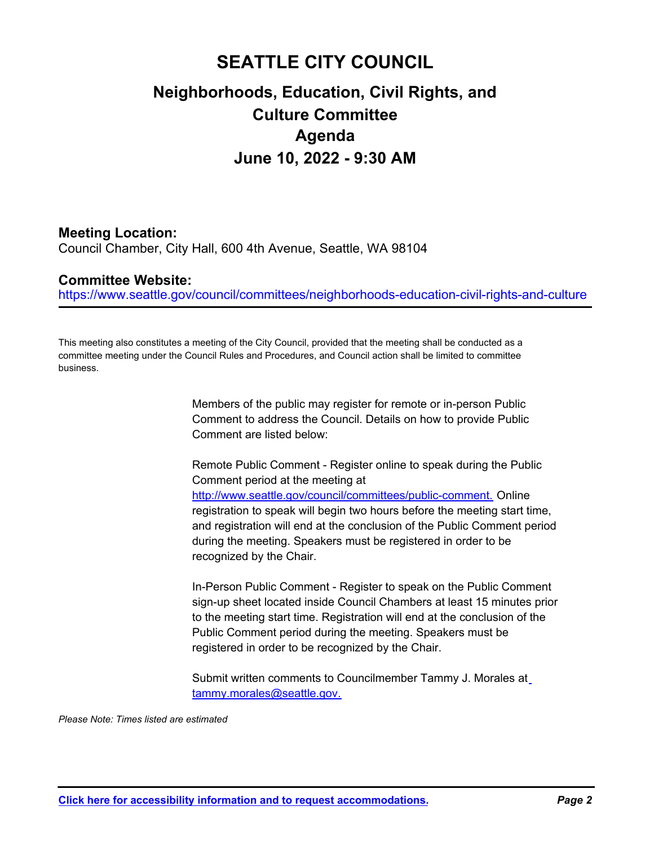## **SEATTLE CITY COUNCIL Neighborhoods, Education, Civil Rights, and Culture Committee Agenda June 10, 2022 - 9:30 AM**

#### **Meeting Location:**

Council Chamber, City Hall, 600 4th Avenue, Seattle, WA 98104

#### **Committee Website:**

https://www.seattle.gov/council/committees/neighborhoods-education-civil-rights-and-culture

This meeting also constitutes a meeting of the City Council, provided that the meeting shall be conducted as a committee meeting under the Council Rules and Procedures, and Council action shall be limited to committee business.

> Members of the public may register for remote or in-person Public Comment to address the Council. Details on how to provide Public Comment are listed below:

Remote Public Comment - Register online to speak during the Public Comment period at the meeting at http://www.seattle.gov/council/committees/public-comment. Online registration to speak will begin two hours before the meeting start time, and registration will end at the conclusion of the Public Comment period during the meeting. Speakers must be registered in order to be recognized by the Chair.

In-Person Public Comment - Register to speak on the Public Comment sign-up sheet located inside Council Chambers at least 15 minutes prior to the meeting start time. Registration will end at the conclusion of the Public Comment period during the meeting. Speakers must be registered in order to be recognized by the Chair.

Submit written comments to Councilmember Tammy J. Morales at tammy.morales@seattle.gov.

*Please Note: Times listed are estimated*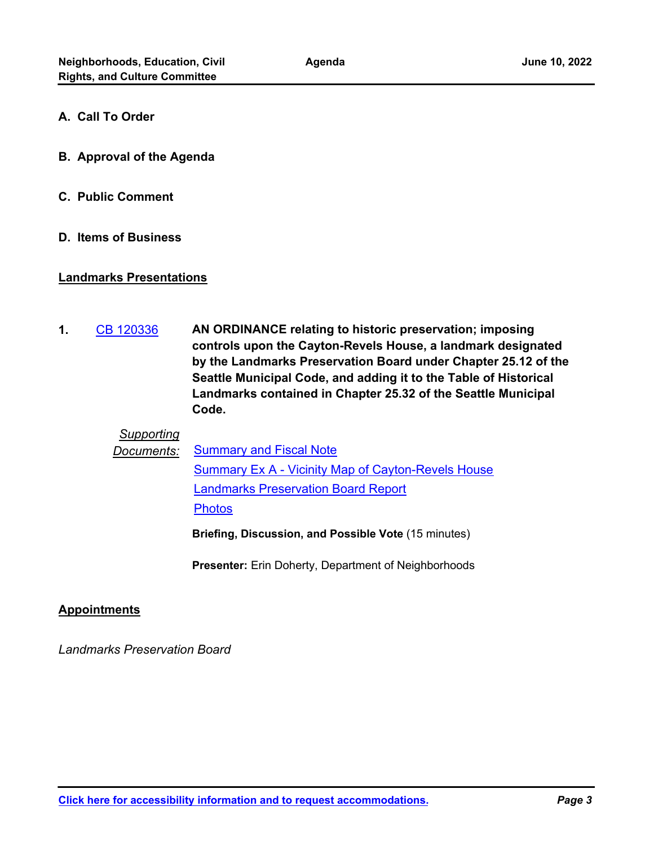- **A. Call To Order**
- **B. Approval of the Agenda**
- **C. Public Comment**
- **D. Items of Business**

#### **Landmarks Presentations**

**AN ORDINANCE relating to historic preservation; imposing controls upon the Cayton-Revels House, a landmark designated by the Landmarks Preservation Board under Chapter 25.12 of the Seattle Municipal Code, and adding it to the Table of Historical Landmarks contained in Chapter 25.32 of the Seattle Municipal Code. 1.** [CB 120336](http://seattle.legistar.com/gateway.aspx?m=l&id=/matter.aspx?key=12816)

#### *Supporting*

**Documents:** [Summary and Fiscal Note](http://seattle.legistar.com/gateway.aspx?M=F&ID=f110da1d-67d3-40c2-869f-dd6fb33b58e2.docx) [Summary Ex A - Vicinity Map of Cayton-Revels House](http://seattle.legistar.com/gateway.aspx?M=F&ID=d2c1954a-f643-4454-b133-d122ab315384.docx) [Landmarks Preservation Board Report](http://seattle.legistar.com/gateway.aspx?M=F&ID=531f6d43-2643-43b0-b7d1-624870bfb1f8.docx) **[Photos](http://seattle.legistar.com/gateway.aspx?M=F&ID=40160c40-4fab-412c-910e-f12673066f35.docx)** 

**Briefing, Discussion, and Possible Vote** (15 minutes)

**Presenter:** Erin Doherty, Department of Neighborhoods

#### **Appointments**

*Landmarks Preservation Board*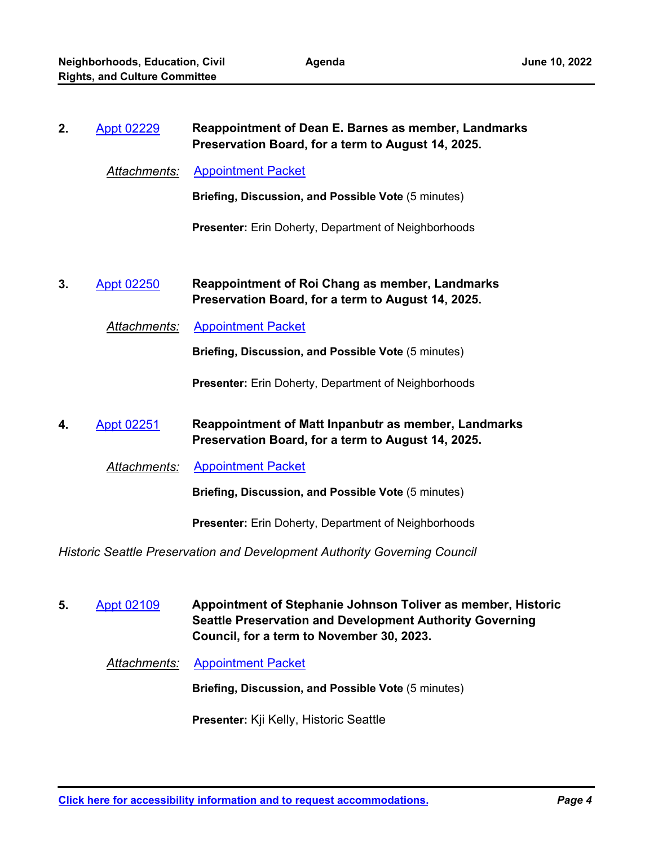| 2. | <b>Appt 02229</b>    | Reappointment of Dean E. Barnes as member, Landmarks<br>Preservation Board, for a term to August 14, 2025.   |
|----|----------------------|--------------------------------------------------------------------------------------------------------------|
|    | <u>Attachments:</u>  | <b>Appointment Packet</b>                                                                                    |
|    |                      | Briefing, Discussion, and Possible Vote (5 minutes)                                                          |
|    |                      | Presenter: Erin Doherty, Department of Neighborhoods                                                         |
| 3. | <b>Appt 02250</b>    | <b>Reappointment of Roi Chang as member, Landmarks</b><br>Preservation Board, for a term to August 14, 2025. |
|    | <u> Attachments:</u> | <b>Appointment Packet</b>                                                                                    |
|    |                      | Briefing, Discussion, and Possible Vote (5 minutes)                                                          |
|    |                      | <b>Presenter:</b> Erin Doherty, Department of Neighborhoods                                                  |
| 4. | <b>Appt 02251</b>    | Reappointment of Matt Inpanbutr as member, Landmarks<br>Preservation Board, for a term to August 14, 2025.   |
|    | Attachments:         | <b>Appointment Packet</b>                                                                                    |
|    |                      | Briefing, Discussion, and Possible Vote (5 minutes)                                                          |
|    |                      | Presenter: Erin Doherty, Department of Neighborhoods                                                         |
|    |                      | Historic Seattle Preservation and Development Authority Governing Council                                    |
| 5. | Appt 02109           | Appointment of Stephanie Johnson Toliver as member, Historic                                                 |

**Seattle Preservation and Development Authority Governing Council, for a term to November 30, 2023.**

*Attachments:* [Appointment Packet](http://seattle.legistar.com/gateway.aspx?M=F&ID=06ad66f2-8bd0-4d93-9ed1-59b803f3cc49.pdf)

**Briefing, Discussion, and Possible Vote** (5 minutes)

**Presenter:** Kji Kelly, Historic Seattle